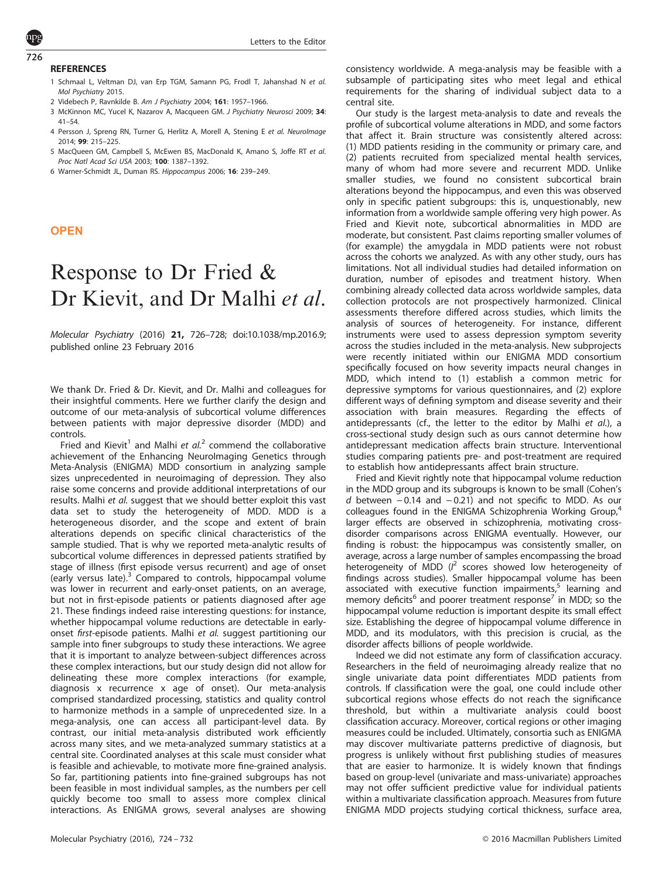726

#### **REFERENCES**

- 1 Schmaal L, Veltman DJ, van Erp TGM, Samann PG, Frodl T, Jahanshad N et al. Mol Psychiatry 2015.
- 2 Videbech P, Ravnkilde B. Am J Psychiatry 2004; 161: 1957-1966.
- 3 McKinnon MC, Yucel K, Nazarov A, Macqueen GM. J Psychiatry Neurosci 2009; 34: 41–54.
- 4 Persson J, Spreng RN, Turner G, Herlitz A, Morell A, Stening E et al. Neurolmage 2014; 99: 215–225.
- 5 MacQueen GM, Campbell S, McEwen BS, MacDonald K, Amano S, Joffe RT et al. Proc Natl Acad Sci USA 2003; 100: 1387–1392.
- 6 Warner-Schmidt JL, Duman RS. Hippocampus 2006; 16: 239–249.

## **OPEN**

# Response to Dr Fried & Dr Kievit, and Dr Malhi et al.

Molecular Psychiatry (2016) 21, 726–728; doi:10.1038/mp.2016.9; published online 23 February 2016

We thank Dr. Fried & Dr. Kievit, and Dr. Malhi and colleagues for their insightful comments. Here we further clarify the design and outcome of our meta-analysis of subcortical volume differences between patients with major depressive disorder (MDD) and controls.

Fried and Kievit<sup>1</sup> and Malhi et  $al<sup>2</sup>$  commend the collaborative achievement of the Enhancing NeuroImaging Genetics through Meta-Analysis (ENIGMA) MDD consortium in analyzing sample sizes unprecedented in neuroimaging of depression. They also raise some concerns and provide additional interpretations of our results. Malhi et al. suggest that we should better exploit this vast data set to study the heterogeneity of MDD. MDD is a heterogeneous disorder, and the scope and extent of brain alterations depends on specific clinical characteristics of the sample studied. That is why we reported meta-analytic results of subcortical volume differences in depressed patients stratified by stage of illness (first episode versus recurrent) and age of onset (early versus late). $3$  Compared to controls, hippocampal volume was lower in recurrent and early-onset patients, on an average, but not in first-episode patients or patients diagnosed after age 21. These findings indeed raise interesting questions: for instance, whether hippocampal volume reductions are detectable in earlyonset first-episode patients. Malhi et al. suggest partitioning our sample into finer subgroups to study these interactions. We agree that it is important to analyze between-subject differences across these complex interactions, but our study design did not allow for delineating these more complex interactions (for example, diagnosis x recurrence x age of onset). Our meta-analysis comprised standardized processing, statistics and quality control to harmonize methods in a sample of unprecedented size. In a mega-analysis, one can access all participant-level data. By contrast, our initial meta-analysis distributed work efficiently across many sites, and we meta-analyzed summary statistics at a central site. Coordinated analyses at this scale must consider what is feasible and achievable, to motivate more fine-grained analysis. So far, partitioning patients into fine-grained subgroups has not been feasible in most individual samples, as the numbers per cell quickly become too small to assess more complex clinical interactions. As ENIGMA grows, several analyses are showing consistency worldwide. A mega-analysis may be feasible with a subsample of participating sites who meet legal and ethical requirements for the sharing of individual subject data to a central site.

Our study is the largest meta-analysis to date and reveals the profile of subcortical volume alterations in MDD, and some factors that affect it. Brain structure was consistently altered across: (1) MDD patients residing in the community or primary care, and (2) patients recruited from specialized mental health services, many of whom had more severe and recurrent MDD. Unlike smaller studies, we found no consistent subcortical brain alterations beyond the hippocampus, and even this was observed only in specific patient subgroups: this is, unquestionably, new information from a worldwide sample offering very high power. As Fried and Kievit note, subcortical abnormalities in MDD are moderate, but consistent. Past claims reporting smaller volumes of (for example) the amygdala in MDD patients were not robust across the cohorts we analyzed. As with any other study, ours has limitations. Not all individual studies had detailed information on duration, number of episodes and treatment history. When combining already collected data across worldwide samples, data collection protocols are not prospectively harmonized. Clinical assessments therefore differed across studies, which limits the analysis of sources of heterogeneity. For instance, different instruments were used to assess depression symptom severity across the studies included in the meta-analysis. New subprojects were recently initiated within our ENIGMA MDD consortium specifically focused on how severity impacts neural changes in MDD, which intend to (1) establish a common metric for depressive symptoms for various questionnaires, and (2) explore different ways of defining symptom and disease severity and their association with brain measures. Regarding the effects of antidepressants (cf., the letter to the editor by Malhi et al.), a cross-sectional study design such as ours cannot determine how antidepressant medication affects brain structure. Interventional studies comparing patients pre- and post-treatment are required to establish how antidepressants affect brain structure.

Fried and Kievit rightly note that hippocampal volume reduction in the MDD group and its subgroups is known to be small (Cohen's d between − 0.14 and − 0.21) and not specific to MDD. As our colleagues found in the ENIGMA Schizophrenia Working Group,<sup>4</sup> larger effects are observed in schizophrenia, motivating crossdisorder comparisons across ENIGMA eventually. However, our finding is robust: the hippocampus was consistently smaller, on average, across a large number of samples encompassing the broad heterogeneity of MDD ( $l^2$  scores showed low heterogeneity of findings across studies). Smaller hippocampal volume has been associated with executive function impairments, $5$  learning and memory deficits<sup>6</sup> and poorer treatment response<sup>7</sup> in MDD; so the hippocampal volume reduction is important despite its small effect size. Establishing the degree of hippocampal volume difference in MDD, and its modulators, with this precision is crucial, as the disorder affects billions of people worldwide.

Indeed we did not estimate any form of classification accuracy. Researchers in the field of neuroimaging already realize that no single univariate data point differentiates MDD patients from controls. If classification were the goal, one could include other subcortical regions whose effects do not reach the significance threshold, but within a multivariate analysis could boost classification accuracy. Moreover, cortical regions or other imaging measures could be included. Ultimately, consortia such as ENIGMA may discover multivariate patterns predictive of diagnosis, but progress is unlikely without first publishing studies of measures that are easier to harmonize. It is widely known that findings based on group-level (univariate and mass-univariate) approaches may not offer sufficient predictive value for individual patients within a multivariate classification approach. Measures from future ENIGMA MDD projects studying cortical thickness, surface area,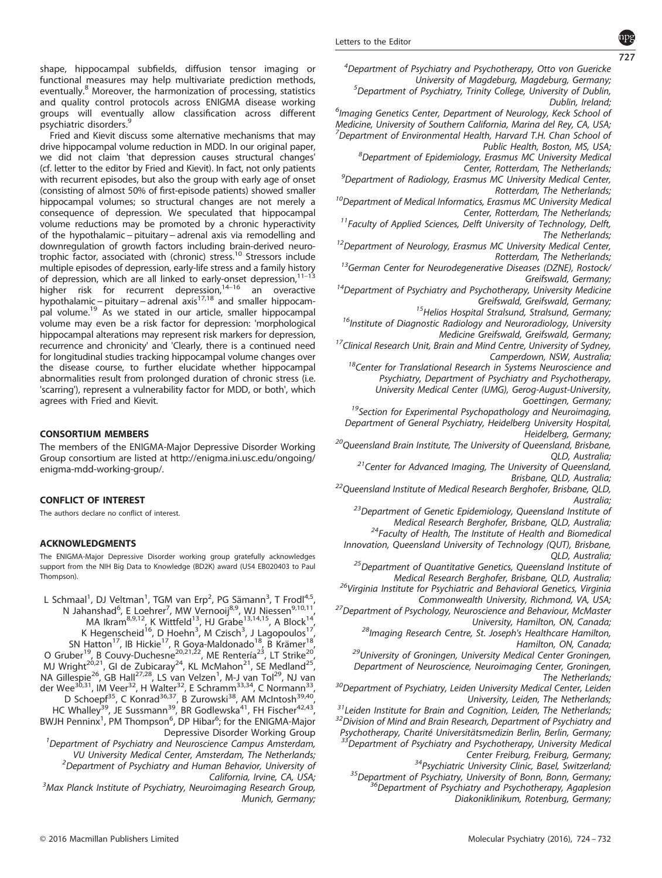shape, hippocampal subfields, diffusion tensor imaging or functional measures may help multivariate prediction methods, eventually.<sup>8</sup> Moreover, the harmonization of processing, statistics and quality control protocols across ENIGMA disease working groups will eventually allow classification across different psychiatric disorders.<sup>9</sup>

Fried and Kievit discuss some alternative mechanisms that may drive hippocampal volume reduction in MDD. In our original paper, we did not claim 'that depression causes structural changes' (cf. letter to the editor by Fried and Kievit). In fact, not only patients with recurrent episodes, but also the group with early age of onset (consisting of almost 50% of first-episode patients) showed smaller hippocampal volumes; so structural changes are not merely a consequence of depression. We speculated that hippocampal volume reductions may be promoted by a chronic hyperactivity of the hypothalamic − pituitary− adrenal axis via remodelling and downregulation of growth factors including brain-derived neurotrophic factor, associated with (chronic) stress.<sup>10</sup> Stressors include multiple episodes of depression, early-life stress and a family history<br>of depression, which are all linked to early-onset depression,<sup>11–13</sup> higher risk for recurrent depression,<sup>14–16</sup> an overactive hypothalamic − pituitary − adrenal axis17,18 and smaller hippocampal volume.19 As we stated in our article, smaller hippocampal volume may even be a risk factor for depression: 'morphological hippocampal alterations may represent risk markers for depression, recurrence and chronicity' and 'Clearly, there is a continued need for longitudinal studies tracking hippocampal volume changes over the disease course, to further elucidate whether hippocampal abnormalities result from prolonged duration of chronic stress (i.e. 'scarring'), represent a vulnerability factor for MDD, or both', which agrees with Fried and Kievit.

## CONSORTIUM MEMBERS

The members of the ENIGMA-Major Depressive Disorder Working Group consortium are listed at http://enigma.ini.usc.edu/ongoing/ enigma-mdd-working-group/.

### CONFLICT OF INTEREST

The authors declare no conflict of interest.

### ACKNOWLEDGMENTS

The ENIGMA-Major Depressive Disorder working group gratefully acknowledges support from the NIH Big Data to Knowledge (BD2K) award (U54 EB020403 to Paul Thompson).

- L Schmaal<sup>1</sup>, DJ Veltman<sup>1</sup>, TGM van Erp<sup>2</sup>, PG Sämann<sup>3</sup>, T Frodl<sup>4,5</sup>, N Jahanshad<sup>6</sup>, E Loehrer<sup>7</sup>, MW Vernooij<sup>8,9</sup>, WJ Niessen<sup>9,10,11</sup>, MA Ikram<sup>8,9,12</sup>, K Wittfeld<sup>13</sup>, HJ Grabe<sup>13,14,15</sup>, A Block<sup>14</sup>, K Hegenscheid<sup>16</sup>, D Hoehn<sup>3</sup>, M Czisch<sup>3</sup>, J Lagopoulos<sup>17</sup>, SN Hatton<sup>17</sup>, IB Hickie<sup>17</sup>, R Goya-Maldonado<sup>18</sup>, B Krämer<sup>18</sup>, O Gruber<sup>19</sup>, B Couvy-Duchesne<sup>20,21,22</sup>, ME Rentería<sup>23</sup>, LT Strike<sup>20</sup>, MJ Wright<sup>20,21</sup>, GI de Zubicaray<sup>24</sup>, KL McMahon<sup>21</sup>, SE Medland<sup>25</sup>, NA Gillespie<sup>26</sup>, GB Hall<sup>27,28</sup>, LS van Velzen<sup>1</sup>, M-J van Tol<sup>29</sup>, NJ van der Wee<sup>30,31</sup>, IM Veer<sup>32</sup>, H Walter<sup>32</sup>, E Schramm<sup>33,34</sup>, C Normann<sup>33</sup>, D Schoepf<sup>35</sup>, C Konrad<sup>36,37</sup>, B Zurowski<sup>38</sup>, AM McIntosh<sup>39,40</sup>, HC Whalley<sup>39</sup>, JE Sussmann<sup>39</sup>, BR Godlewska<sup>41</sup>, FH Fischer<sup>42,43</sup>, BWJH Penninx<sup>1</sup>, PM Thompson<sup>6</sup>, DP Hibar<sup>6</sup>; for the ENIGMA-Major
- Depressive Disorder Working Group<br>Department of Psychiatry and Neuroscience Campus Amsterdam, VU University Medical Center, Amsterdam, The Netherlands; <sup>2</sup>  $2$ Department of Psychiatry and Human Behavior, University of

,California, Irvine, CA, USA<br>Max Planck Institute of Psychiatry, Neuroimaging Research Group<sup>3</sup> Munich, Germany; <sup>4</sup>Department of Psychiatry and Psychotherapy, Otto von Guericke University of Magdeburg, Magdeburg, Germany; <sup>5</sup> Department of Psychiatry, Trinity College, University of Dublin,

Dublin, Ireland; <sup>6</sup> Imaging Genetics Center, Department of Neurology, Keck School of

Medicine, University of Southern California, Marina del Rey, CA, USA; 7 Department of Environmental Health, Harvard T.H. Chan School of Public Health, Boston, MS, USA;<br><sup>8</sup>Department of Epidemiology, Erasmus MC University Medicai

Center, Rotterdam, The Netherlands;<br><sup>9</sup>Department of Radiology, Erasmus MC University Medical Center,

Rotterdam, The Netherlands;<br><sup>10</sup>Department of Medical Informatics, Erasmus MC University Medical

Center, Rotterdam, The Netherlands;<br><sup>11</sup>Faculty of Applied Sciences, Delft University of Technology, Delft,<br>The Netherlands

 $12$ Department of Neurology, Erasmus MC University Medical Center, Rotterdam, The Netherlands;<br><sup>13</sup>German Center for Neurodegenerative Diseases (DZNE), Rostock/

Greifswald, Germany;<br><sup>14</sup>Department of Psychiatry and Psychotherapy, University Medicine<br>Greifswald, Greifswald, Germany;

<sup>15</sup>Helios Hospital Stralsund, Stralsund, Germany;<sup>16</sup><br><sup>16</sup>Institute of Diagnostic Radiology and Neuroradiology, University<br>Medicine Greifswald, Greifswald, Germany;

<sup>17</sup>Clinical Research Unit, Brain and Mind Centre, University of Sydney,<br>Camperdown, NSW, Australia,

 $18$ Center for Translational Research in Systems Neuroscience and Psychiatry, Department of Psychiatry and Psychotherapy, University Medical Center (UMG), Gerog-August-University,

Goettingen, Germany;<br><sup>19</sup>Section for Experimental Psychopathology and Neuroimaging, Department of General Psychiatry, Heidelberg University Hospital,

 $^{20}$ Queensland Brain Institute, The University of Queensland, Brisbane,

QLD, Australia;<br><sup>21</sup>Center for Advanced Imaging, The University of Queensland,<br>Brisbane, QLD, Australia;

<sup>22</sup>Queensland Institute of Medical Research Berghofer, Brisbane, QLD,

Australia;<br><sup>23</sup>Department of Genetic Epidemiology, Queensland Institute of

Medical Research Berghofer, Brisbane, QLD, Australia; 24Faculty of Health, The Institute of Health and Biomedical

Innovation, Queensland University of Technology (QUT), Brisbane,

QLD, Australia;<br><sup>25</sup>Department of Quantitative Genetics, Queensland Institute of

Medical Research Berghofer, Brisbane, QLD, Australia;<br><sup>26</sup>Virginia Institute for Psychiatric and Behavioral Genetics, Virginia<br>Commonwealth University, Richmond, VA, USA;

<sup>27</sup>Department of Psychology, Neuroscience and Behaviour, McMaster

University, Hamilton, ON, Canada;<br><sup>28</sup>Imaging Research Centre, St. Joseph's Healthcare Hamilton,

Hamilton, ON, Canada; 29University of Groningen, University Medical Center Groningen, Department of Neuroscience, Neuroimaging Center, Groningen,

The Netherlands;<br><sup>30</sup>Department of Psychiatry, Leiden University Medical Center, Leiden

University, Leiden, The Netherlands; 31<br>Leiden Institute for Brain and Cognition, Leiden, The Netherlands;<br><sup>32</sup>Division of Mind and Brain Research, Department of Psychiatry and Psychotherapy, Charité Universitätsmedizin Berlin, Berlin, Germany; <sup>33</sup>Department of Psychiatry and Psychotherapy, University Medical

Center Freiburg, Freiburg, Germany;<sup>34</sup>Psychiatric University Clinic, Basel, Switzerland;<br><sup>35</sup>Department of Psychiatry, University of Bonn, Bonn, Germany;<sup>36</sup>Department of Psychiatry and Psychotherapy, Agaplesion Diakoniklinikum, Rotenburg, Germany;